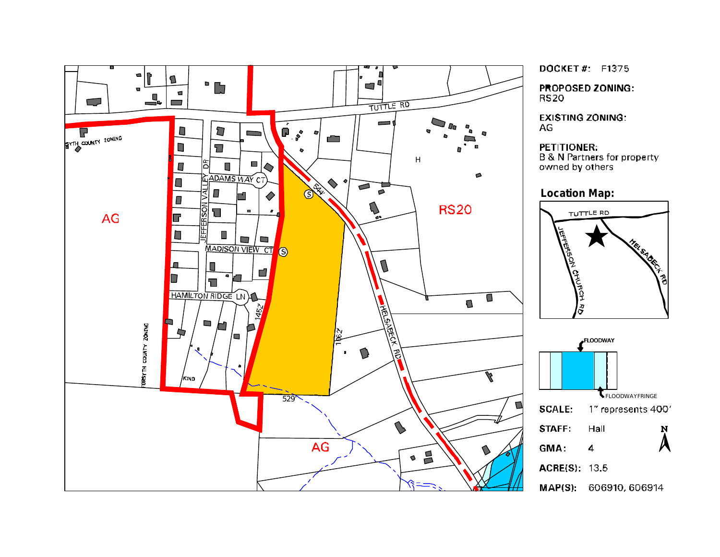

DOCKET#: F1375

**PROPOSED ZONING: RS20** 

**EXISTING ZONING:** AG

PETITIONER: **B & N Partners for property** owned by others

**Location Map:**



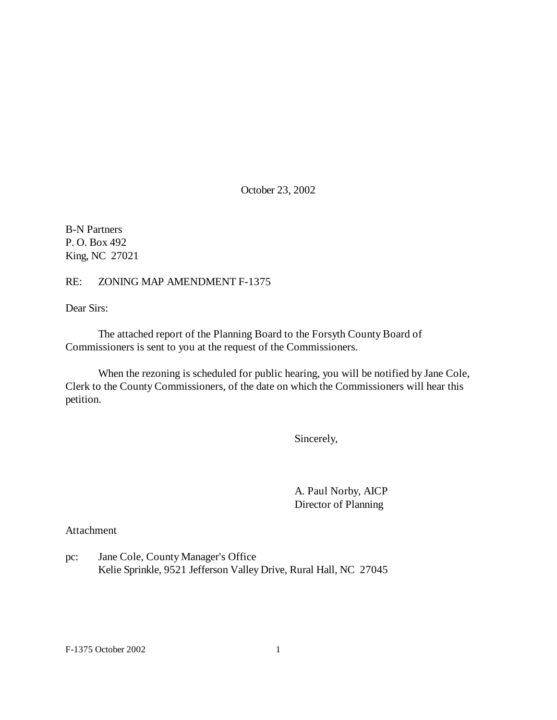October 23, 2002

B-N Partners P. O. Box 492 King, NC 27021

RE: ZONING MAP AMENDMENT F-1375

Dear Sirs:

The attached report of the Planning Board to the Forsyth County Board of Commissioners is sent to you at the request of the Commissioners.

When the rezoning is scheduled for public hearing, you will be notified by Jane Cole, Clerk to the County Commissioners, of the date on which the Commissioners will hear this petition.

Sincerely,

A. Paul Norby, AICP Director of Planning

Attachment

pc: Jane Cole, County Manager's Office Kelie Sprinkle, 9521 Jefferson Valley Drive, Rural Hall, NC 27045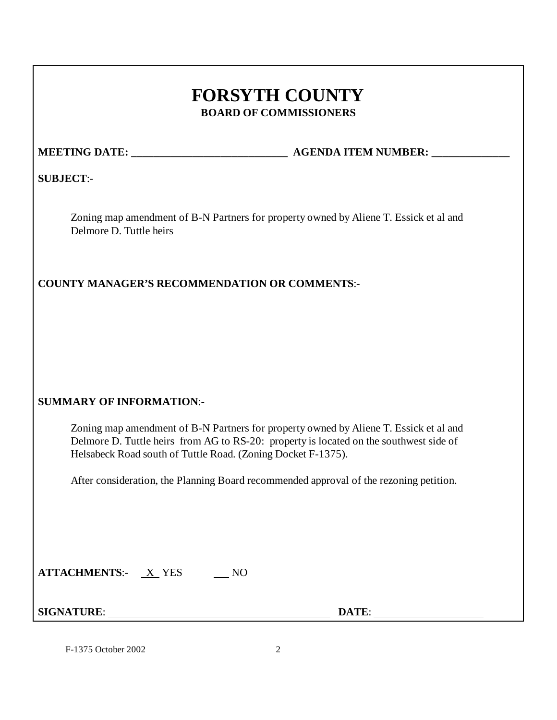# **FORSYTH COUNTY BOARD OF COMMISSIONERS**

**MEETING DATE: \_\_\_\_\_\_\_\_\_\_\_\_\_\_\_\_\_\_\_\_\_\_\_\_\_\_\_\_ AGENDA ITEM NUMBER: \_\_\_\_\_\_\_\_\_\_\_\_\_\_**

**SUBJECT**:-

Zoning map amendment of B-N Partners for property owned by Aliene T. Essick et al and Delmore D. Tuttle heirs

**COUNTY MANAGER'S RECOMMENDATION OR COMMENTS**:-

# **SUMMARY OF INFORMATION**:-

Zoning map amendment of B-N Partners for property owned by Aliene T. Essick et al and Delmore D. Tuttle heirs from AG to RS-20: property is located on the southwest side of Helsabeck Road south of Tuttle Road. (Zoning Docket F-1375).

After consideration, the Planning Board recommended approval of the rezoning petition.

| <b>ATTACHMENTS:-</b> | <b>YES</b> |  |
|----------------------|------------|--|
|----------------------|------------|--|

**SIGNATURE**: **DATE**: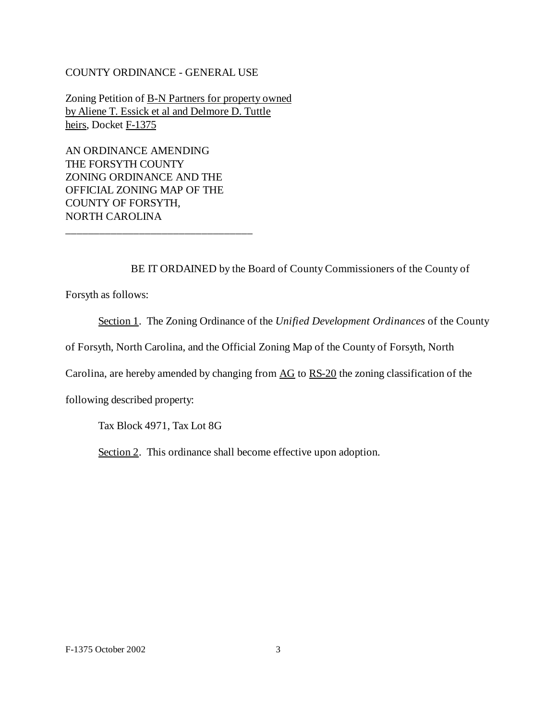#### COUNTY ORDINANCE - GENERAL USE

Zoning Petition of B-N Partners for property owned by Aliene T. Essick et al and Delmore D. Tuttle heirs, Docket F-1375

AN ORDINANCE AMENDING THE FORSYTH COUNTY ZONING ORDINANCE AND THE OFFICIAL ZONING MAP OF THE COUNTY OF FORSYTH, NORTH CAROLINA

\_\_\_\_\_\_\_\_\_\_\_\_\_\_\_\_\_\_\_\_\_\_\_\_\_\_\_\_\_\_\_\_\_

BE IT ORDAINED by the Board of County Commissioners of the County of

Forsyth as follows:

Section 1. The Zoning Ordinance of the *Unified Development Ordinances* of the County

of Forsyth, North Carolina, and the Official Zoning Map of the County of Forsyth, North

Carolina, are hereby amended by changing from AG to RS-20 the zoning classification of the

following described property:

Tax Block 4971, Tax Lot 8G

Section 2. This ordinance shall become effective upon adoption.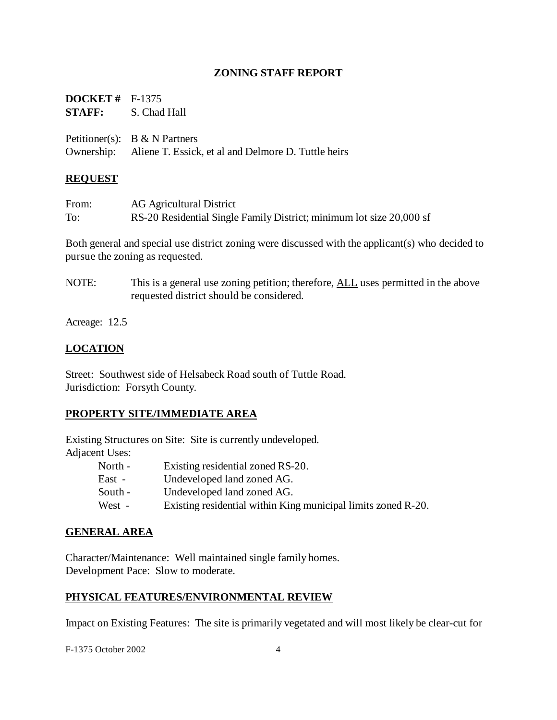#### **ZONING STAFF REPORT**

| <b>DOCKET</b> # $F-1375$ |                                                                |
|--------------------------|----------------------------------------------------------------|
|                          | <b>STAFF:</b> S. Chad Hall                                     |
|                          |                                                                |
|                          | Petitioner(s): $B & N$ Partners                                |
|                          | Ownership: Aliene T. Essick, et al and Delmore D. Tuttle heirs |

#### **REQUEST**

| From: | AG Agricultural District                                             |
|-------|----------------------------------------------------------------------|
| To:   | RS-20 Residential Single Family District; minimum lot size 20,000 sf |

Both general and special use district zoning were discussed with the applicant(s) who decided to pursue the zoning as requested.

NOTE: This is a general use zoning petition; therefore, ALL uses permitted in the above requested district should be considered.

Acreage: 12.5

#### **LOCATION**

Street: Southwest side of Helsabeck Road south of Tuttle Road. Jurisdiction: Forsyth County.

#### **PROPERTY SITE/IMMEDIATE AREA**

Existing Structures on Site: Site is currently undeveloped. Adjacent Uses:

| North - | Existing residential zoned RS-20.                             |
|---------|---------------------------------------------------------------|
| East -  | Undeveloped land zoned AG.                                    |
| South - | Undeveloped land zoned AG.                                    |
| West -  | Existing residential within King municipal limits zoned R-20. |

#### **GENERAL AREA**

Character/Maintenance: Well maintained single family homes. Development Pace: Slow to moderate.

#### **PHYSICAL FEATURES/ENVIRONMENTAL REVIEW**

Impact on Existing Features: The site is primarily vegetated and will most likely be clear-cut for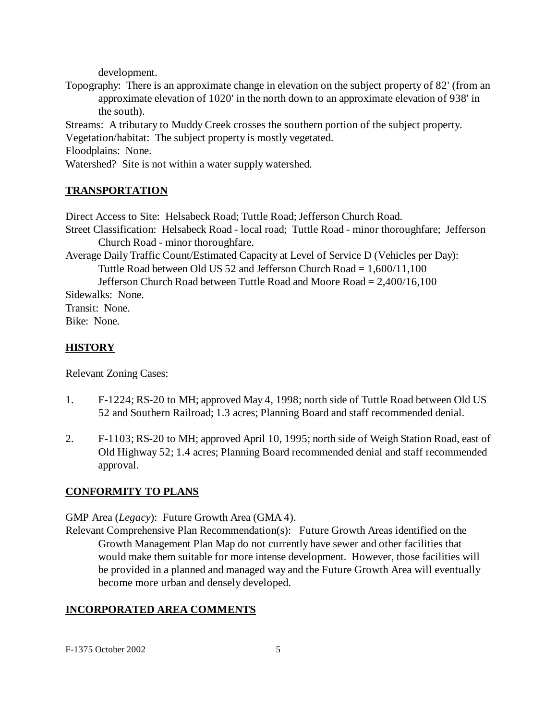development.

Topography: There is an approximate change in elevation on the subject property of 82' (from an approximate elevation of 1020' in the north down to an approximate elevation of 938' in the south).

Streams: A tributary to Muddy Creek crosses the southern portion of the subject property. Vegetation/habitat: The subject property is mostly vegetated.

Floodplains: None.

Watershed? Site is not within a water supply watershed.

# **TRANSPORTATION**

Direct Access to Site: Helsabeck Road; Tuttle Road; Jefferson Church Road. Street Classification: Helsabeck Road - local road; Tuttle Road - minor thoroughfare; Jefferson Church Road - minor thoroughfare. Average Daily Traffic Count/Estimated Capacity at Level of Service D (Vehicles per Day): Tuttle Road between Old US 52 and Jefferson Church Road = 1,600/11,100 Jefferson Church Road between Tuttle Road and Moore Road = 2,400/16,100 Sidewalks: None.

Transit: None. Bike: None.

# **HISTORY**

Relevant Zoning Cases:

- 1. F-1224; RS-20 to MH; approved May 4, 1998; north side of Tuttle Road between Old US 52 and Southern Railroad; 1.3 acres; Planning Board and staff recommended denial.
- 2. F-1103; RS-20 to MH; approved April 10, 1995; north side of Weigh Station Road, east of Old Highway 52; 1.4 acres; Planning Board recommended denial and staff recommended approval.

#### **CONFORMITY TO PLANS**

GMP Area (*Legacy*): Future Growth Area (GMA 4).

Relevant Comprehensive Plan Recommendation(s): Future Growth Areas identified on the Growth Management Plan Map do not currently have sewer and other facilities that would make them suitable for more intense development. However, those facilities will be provided in a planned and managed way and the Future Growth Area will eventually become more urban and densely developed.

# **INCORPORATED AREA COMMENTS**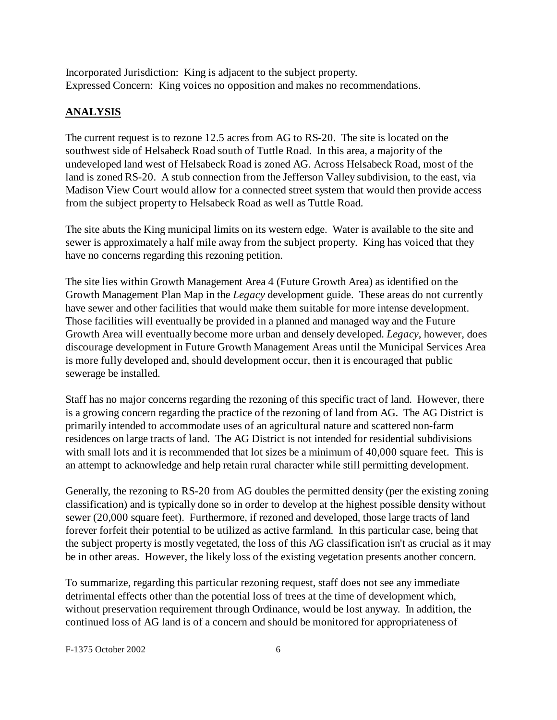Incorporated Jurisdiction: King is adjacent to the subject property. Expressed Concern: King voices no opposition and makes no recommendations.

#### **ANALYSIS**

The current request is to rezone 12.5 acres from AG to RS-20. The site is located on the southwest side of Helsabeck Road south of Tuttle Road. In this area, a majority of the undeveloped land west of Helsabeck Road is zoned AG. Across Helsabeck Road, most of the land is zoned RS-20. A stub connection from the Jefferson Valley subdivision, to the east, via Madison View Court would allow for a connected street system that would then provide access from the subject property to Helsabeck Road as well as Tuttle Road.

The site abuts the King municipal limits on its western edge. Water is available to the site and sewer is approximately a half mile away from the subject property. King has voiced that they have no concerns regarding this rezoning petition.

The site lies within Growth Management Area 4 (Future Growth Area) as identified on the Growth Management Plan Map in the *Legacy* development guide. These areas do not currently have sewer and other facilities that would make them suitable for more intense development. Those facilities will eventually be provided in a planned and managed way and the Future Growth Area will eventually become more urban and densely developed. *Legacy*, however, does discourage development in Future Growth Management Areas until the Municipal Services Area is more fully developed and, should development occur, then it is encouraged that public sewerage be installed.

Staff has no major concerns regarding the rezoning of this specific tract of land. However, there is a growing concern regarding the practice of the rezoning of land from AG. The AG District is primarily intended to accommodate uses of an agricultural nature and scattered non-farm residences on large tracts of land. The AG District is not intended for residential subdivisions with small lots and it is recommended that lot sizes be a minimum of 40,000 square feet. This is an attempt to acknowledge and help retain rural character while still permitting development.

Generally, the rezoning to RS-20 from AG doubles the permitted density (per the existing zoning classification) and is typically done so in order to develop at the highest possible density without sewer (20,000 square feet). Furthermore, if rezoned and developed, those large tracts of land forever forfeit their potential to be utilized as active farmland. In this particular case, being that the subject property is mostly vegetated, the loss of this AG classification isn't as crucial as it may be in other areas. However, the likely loss of the existing vegetation presents another concern.

To summarize, regarding this particular rezoning request, staff does not see any immediate detrimental effects other than the potential loss of trees at the time of development which, without preservation requirement through Ordinance, would be lost anyway. In addition, the continued loss of AG land is of a concern and should be monitored for appropriateness of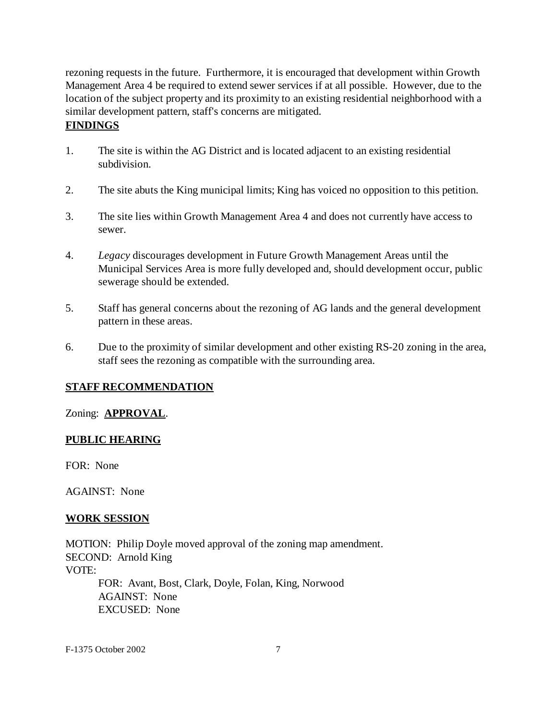rezoning requests in the future. Furthermore, it is encouraged that development within Growth Management Area 4 be required to extend sewer services if at all possible. However, due to the location of the subject property and its proximity to an existing residential neighborhood with a similar development pattern, staff's concerns are mitigated.

# **FINDINGS**

- 1. The site is within the AG District and is located adjacent to an existing residential subdivision.
- 2. The site abuts the King municipal limits; King has voiced no opposition to this petition.
- 3. The site lies within Growth Management Area 4 and does not currently have access to sewer.
- 4. *Legacy* discourages development in Future Growth Management Areas until the Municipal Services Area is more fully developed and, should development occur, public sewerage should be extended.
- 5. Staff has general concerns about the rezoning of AG lands and the general development pattern in these areas.
- 6. Due to the proximity of similar development and other existing RS-20 zoning in the area, staff sees the rezoning as compatible with the surrounding area.

# **STAFF RECOMMENDATION**

# Zoning: **APPROVAL**.

# **PUBLIC HEARING**

FOR: None

AGAINST: None

# **WORK SESSION**

MOTION: Philip Doyle moved approval of the zoning map amendment. SECOND: Arnold King VOTE: FOR: Avant, Bost, Clark, Doyle, Folan, King, Norwood AGAINST: None EXCUSED: None